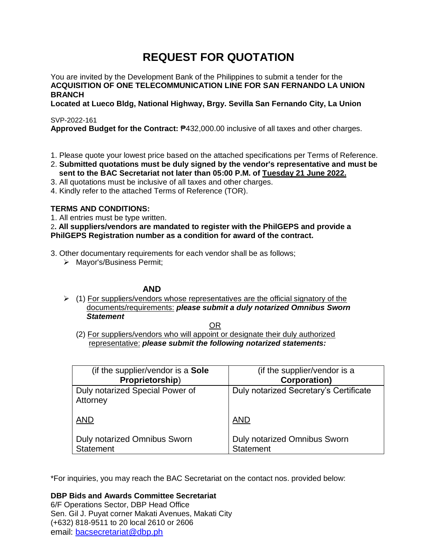# **REQUEST FOR QUOTATION**

You are invited by the Development Bank of the Philippines to submit a tender for the **ACQUISITION OF ONE TELECOMMUNICATION LINE FOR SAN FERNANDO LA UNION BRANCH**

**Located at Lueco Bldg, National Highway, Brgy. Sevilla San Fernando City, La Union**

SVP-2022-161

**Approved Budget for the Contract:** ₱432,000.00 inclusive of all taxes and other charges.

- 1. Please quote your lowest price based on the attached specifications per Terms of Reference.
- 2. **Submitted quotations must be duly signed by the vendor's representative and must be sent to the BAC Secretariat not later than 05:00 P.M. of Tuesday 21 June 2022.**
- 3. All quotations must be inclusive of all taxes and other charges.
- 4. Kindly refer to the attached Terms of Reference (TOR).

# **TERMS AND CONDITIONS:**

1. All entries must be type written.

2**. All suppliers/vendors are mandated to register with the PhilGEPS and provide a PhilGEPS Registration number as a condition for award of the contract.**

3. Other documentary requirements for each vendor shall be as follows;

> Mayor's/Business Permit;

# **AND**

 $\geq$  (1) For suppliers/vendors whose representatives are the official signatory of the documents/requirements: *please submit a duly notarized Omnibus Sworn Statement*

<u>OR Starting and the Starting OR Starting</u>

(2) For suppliers/vendors who will appoint or designate their duly authorized representative: *please submit the following notarized statements:*

| (if the supplier/vendor is a <b>Sole</b> )  | (if the supplier/vendor is a           |
|---------------------------------------------|----------------------------------------|
| Proprietorship)                             | <b>Corporation)</b>                    |
| Duly notarized Special Power of<br>Attorney | Duly notarized Secretary's Certificate |
| <b>AND</b>                                  | <b>AND</b>                             |
| Duly notarized Omnibus Sworn                | <b>Duly notarized Omnibus Sworn</b>    |
| <b>Statement</b>                            | <b>Statement</b>                       |

\*For inquiries, you may reach the BAC Secretariat on the contact nos. provided below:

**DBP Bids and Awards Committee Secretariat**  6/F Operations Sector, DBP Head Office Sen. Gil J. Puyat corner Makati Avenues, Makati City (+632) 818-9511 to 20 local 2610 or 2606

email: [bacsecretariat@dbp.ph](mailto:bacsecretariat@dbp.ph)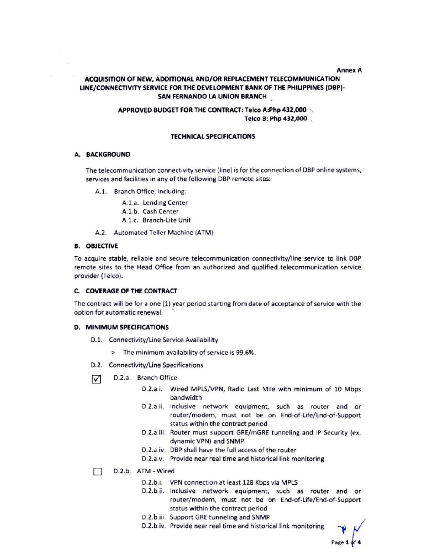#### **Annex A**

# ACQUISITION OF NEW, ADDITIONAL AND/OR REPLACEMENT TELECOMMUNICATION LINE/CONNECTIVITY SERVICE FOR THE DEVELOPMENT BANK OF THE PHILIPPINES (DBP)-SAN FERNANDO LA UNION BRANCH

## APPROVED BUDGET FOR THE CONTRACT: Telco A:Php 432,000 Telco B: Php 432,000

#### **TECHNICAL SPECIFICATIONS**

#### A. BACKGROUND

The telecommunication connectivity service (line) is for the connection of DBP online systems, services and facilities in any of the following DBP remote sites:

A.1. Branch Office, including:

A.1.a. Lending Center

- A.1.b. Cash Center
- A.1.c. Branch-Lite Unit
- A.2. Automated Teller Machine (ATM)

#### **B. OBJECTIVE**

To acquire stable, reliable and secure telecommunication connectivity/line service to link DBP remote sites to the Head Office from an authorized and qualified telecommunication service provider (Telco).

#### C. COVERAGE OF THE CONTRACT

The contract will be for a one (1) year period starting from date of acceptance of service with the option for automatic renewal.

#### **D. MINIMUM SPECIFICATIONS**

- D.1. Connectivity/Line Service Availability
	- > The minimum availability of service is 99.6%.
- D.2. Connectivity/Line Specifications
- D.2.a. Branch Office ☑
	- D.2.a.i. Wired MPLS/VPN, Radio Last Mile with minimum of 10 Mbps bandwidth
	- D.2.a.ii. Inclusive network equipment, such as router and or router/modem, must not be on End-of-Life/End-of-Support status within the contract period
	- D.2.a.iii. Router must support GRE/mGRE tunneling and IP Security (ex. dynamic VPN) and SNMP
	- D.2.a.iv. DBP shall have the full access of the router
	- D.2.a.v. Provide near real time and historical link monitoring
- D.2.b. ATM Wired П
	- D.2.b.i. VPN connection at least 128 Kbps via MPLS
	- D.2.b.ii. Inclusive network equipment, such as router and or router/modem, must not be on End-of-Life/End-of-Support status within the contract period
	- D.2.b.iii. Support GRE tunneling and SNMP
	- D.2.b.iv. Provide near real time and historical link monitoring

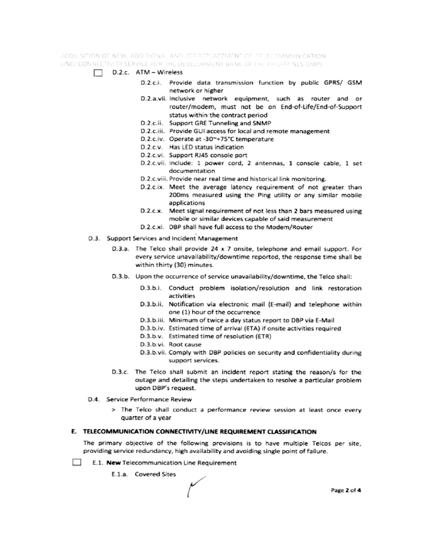ACQUISITION OF NEW, ADDITIONAL AND JOR REPLACEMENT OF TELECOMMUNICATION. LINE/ CONNECTIVITY SERVICE FOR THE DEVELOPMENT BANK OF THE PHILIPPINES (DBP)

- $\Box$  D.2.c. ATM Wireless
	- D.2.c.i. Provide data transmission function by public GPRS/ GSM network or higher
	- D.2.a.vii. Inclusive network equipment, such as router and or router/modem, must not be on End-of-Life/End-of-Support status within the contract period
	- D.2.c.ii. Support GRE Tunneling and SNMP
	- D.2.c.iii. Provide GUI access for local and remote management
	- D.2.c.iv. Operate at -30~+75°C temperature
	- D.2.c.v. Has LED status indication
	- D.2.c.vi. Support RJ45 console port
	- D.2.c.vii. Include: 1 power cord, 2 antennas, 1 console cable, 1 set documentation
	- D.2.c.viii. Provide near real time and historical link monitoring.
	- D.2.c.ix. Meet the average latency requirement of not greater than 200ms measured using the Ping utility or any similar mobile applications
	- D.2.c.x. Meet signal requirement of not less than 2 bars measured using mobile or similar devices capable of said measurement
	- D.2.c.xi. DBP shall have full access to the Modem/Router
- D.3. Support Services and Incident Management
	- D.3.a. The Telco shall provide 24 x 7 onsite, telephone and email support. For every service unavailability/downtime reported, the response time shall be within thirty (30) minutes.
	- D.3.b. Upon the occurrence of service unavailability/downtime, the Telco shall:
		- D.3.b.i. Conduct problem isolation/resolution and link restoration activities
		- D.3.b.ii. Notification via electronic mail (E-mail) and telephone within one (1) hour of the occurrence
		- D.3.b.iii. Minimum of twice a day status report to DBP via E-Mail
		- D.3.b.iv. Estimated time of arrival (ETA) if onsite activities required
		- D.3.b.v. Estimated time of resolution (ETR)
		- D.3.b.vi. Root cause
		- D.3.b.vii. Comply with DBP policies on security and confidentiality during support services.
	- D.3.c. The Telco shall submit an incident report stating the reason/s for the outage and detailing the steps undertaken to resolve a particular problem upon DBP's request.
- D.4. Service Performance Review
	- > The Telco shall conduct a performance review session at least once every quarter of a year

#### E. TELECOMMUNICATION CONNECTIVITY/LINE REQUIREMENT CLASSIFICATION

The primary objective of the following provisions is to have multiple Telcos per site, providing service redundancy, high availability and avoiding single point of failure.

- **College** E.1. New Telecommunication Line Requirement
	- E.1.a. Covered Sites

Page 2 of 4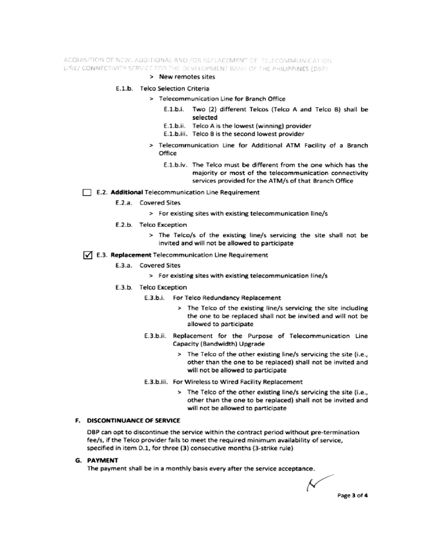ACQUISITION OF NEW, ADDITIONAL AND /OR REPLACEMENT OF TELECOMMUNICATION LINE/ CONNECTIVITY SERVICE FOR THE DEVELOPMENT BANK OF THE PHILIPPINES (DBP)

#### > New remotes sites

#### E.1.b. Telco Selection Criteria

- > Telecommunication Line for Branch Office
	- E.1.b.i. Two (2) different Telcos (Telco A and Telco B) shall be selected
	- E.1.b.ii. Telco A is the lowest (winning) provider
	- E.1.b.iii. Telco B is the second lowest provider
- > Telecommunication Line for Additional ATM Facility of a Branch Office
	- E.1.b.iv. The Telco must be different from the one which has the majority or most of the telecommunication connectivity services provided for the ATM/s of that Branch Office

#### E.2. Additional Telecommunication Line Requirement

- E.2.a. Covered Sites
	- > For existing sites with existing telecommunication line/s
- E.2.b. Telco Exception
	- > The Telco/s of the existing line/s servicing the site shall not be invited and will not be allowed to participate

#### √ E.3. Replacement Telecommunication Line Requirement

- E.3.a. Covered Sites
	- > For existing sites with existing telecommunication line/s
- E.3.b. Telco Exception
	- E.3.b.i. For Telco Redundancy Replacement
		- > The Telco of the existing line/s servicing the site including the one to be replaced shall not be invited and will not be allowed to participate
	- E.3.b.ii. Replacement for the Purpose of Telecommunication Line Capacity (Bandwidth) Upgrade
		- > The Telco of the other existing line/s servicing the site (i.e., other than the one to be replaced) shall not be invited and will not be allowed to participate
	- E.3.b.iii. For Wireless to Wired Facility Replacement
		- > The Telco of the other existing line/s servicing the site (i.e., other than the one to be replaced) shall not be invited and will not be allowed to participate

# F. DISCONTINUANCE OF SERVICE

DBP can opt to discontinue the service within the contract period without pre-termination fee/s, if the Telco provider fails to meet the required minimum availability of service, specified in item D.1, for three (3) consecutive months (3-strike rule)

#### **G. PAYMENT**

The payment shall be in a monthly basis every after the service acceptance.

Ν Page 3 of 4